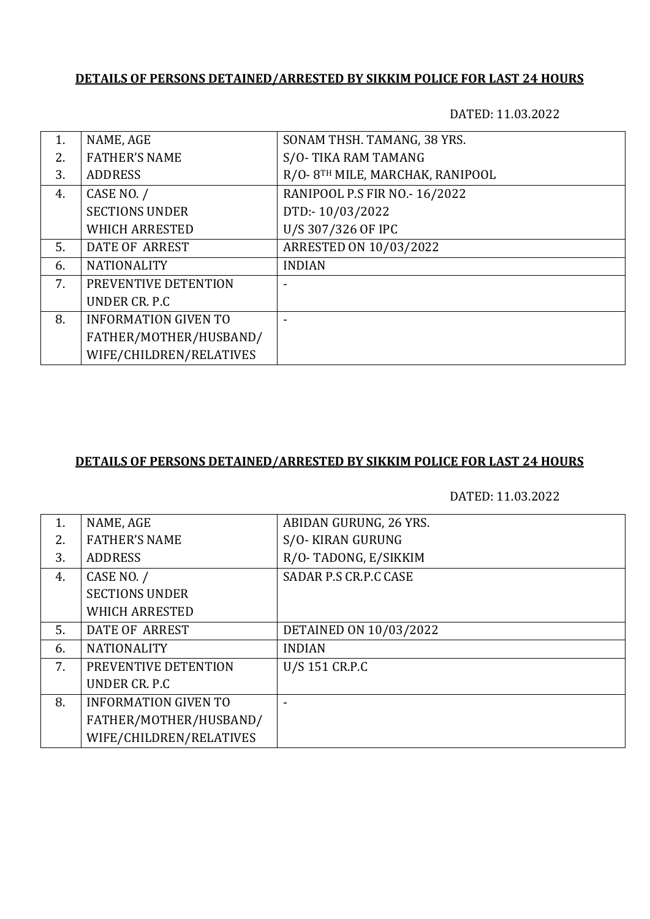## **DETAILS OF PERSONS DETAINED/ARRESTED BY SIKKIM POLICE FOR LAST 24 HOURS**

DATED: 11.03.2022

| NAME, AGE                   | SONAM THSH. TAMANG, 38 YRS.      |
|-----------------------------|----------------------------------|
| <b>FATHER'S NAME</b>        | S/O-TIKA RAM TAMANG              |
| <b>ADDRESS</b>              | R/O- 8TH MILE, MARCHAK, RANIPOOL |
| CASE NO. /                  | RANIPOOL P.S FIR NO.- 16/2022    |
| <b>SECTIONS UNDER</b>       | DTD:-10/03/2022                  |
| <b>WHICH ARRESTED</b>       | U/S 307/326 OF IPC               |
| DATE OF ARREST              | ARRESTED ON 10/03/2022           |
| <b>NATIONALITY</b>          | <b>INDIAN</b>                    |
| PREVENTIVE DETENTION        |                                  |
| UNDER CR. P.C.              |                                  |
| <b>INFORMATION GIVEN TO</b> |                                  |
| FATHER/MOTHER/HUSBAND/      |                                  |
| WIFE/CHILDREN/RELATIVES     |                                  |
|                             |                                  |

## **DETAILS OF PERSONS DETAINED/ARRESTED BY SIKKIM POLICE FOR LAST 24 HOURS**

DATED: 11.03.2022

| 1. | NAME, AGE                   | ABIDAN GURUNG, 26 YRS. |
|----|-----------------------------|------------------------|
| 2. | <b>FATHER'S NAME</b>        | S/O-KIRAN GURUNG       |
| 3. | <b>ADDRESS</b>              | R/O-TADONG, E/SIKKIM   |
| 4. | CASE NO. /                  | SADAR P.S CR.P.C CASE  |
|    | <b>SECTIONS UNDER</b>       |                        |
|    | <b>WHICH ARRESTED</b>       |                        |
| 5. | DATE OF ARREST              | DETAINED ON 10/03/2022 |
| 6. | <b>NATIONALITY</b>          | <b>INDIAN</b>          |
| 7. | PREVENTIVE DETENTION        | U/S 151 CR.P.C         |
|    | UNDER CR. P.C.              |                        |
| 8. | <b>INFORMATION GIVEN TO</b> |                        |
|    | FATHER/MOTHER/HUSBAND/      |                        |
|    | WIFE/CHILDREN/RELATIVES     |                        |